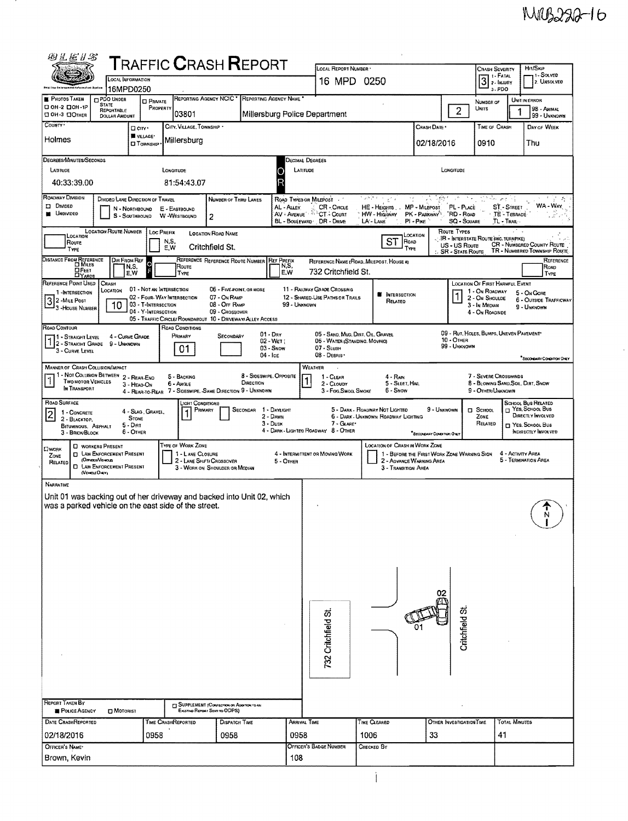$\frac{1}{2}$ 

| 网汇汇升名                                                                                      |                                                        |                          | <b>TRAFFIC CRASH REPORT</b>                                             |                                                                                     |            |                                         | LOCAL REPORT NUMBER .                                              |                      |                                              |                                             |                                                                                                                       |                                                               |                                     | Hit/Skip                                                    |
|--------------------------------------------------------------------------------------------|--------------------------------------------------------|--------------------------|-------------------------------------------------------------------------|-------------------------------------------------------------------------------------|------------|-----------------------------------------|--------------------------------------------------------------------|----------------------|----------------------------------------------|---------------------------------------------|-----------------------------------------------------------------------------------------------------------------------|---------------------------------------------------------------|-------------------------------------|-------------------------------------------------------------|
|                                                                                            | <b>LOCAL INFORMATION</b>                               |                          |                                                                         |                                                                                     |            |                                         | 16 MPD 0250                                                        |                      |                                              |                                             | <b>CRASH SEVERITY</b><br>$\begin{array}{ c c }\n\hline\n3 & 1. \text{FATAL} \\ \hline\n2. \text{HullPV}\n\end{array}$ |                                                               | , I-Solved<br>2. UNSOLVED           |                                                             |
| <b>PHOTOS TAKEN</b>                                                                        | 16MPD0250<br><b>OPDO UNDER</b>                         | <b>CI PRIVATE</b>        | REPORTING AGENCY NCIC *                                                 |                                                                                     |            | REPORTING AGENCY NAME                   |                                                                    |                      |                                              |                                             |                                                                                                                       | a. PDO<br>NUMBER OF                                           |                                     | UNIT IN ERROR                                               |
| CI 0H-2 CIOH-1P<br>CI OH-3 CIOTHER                                                         | <b>STATE</b><br>REPORTABLE<br>DOLLAR AMOUNT            | PROPERTY                 | 03801                                                                   |                                                                                     |            |                                         | Millersburg Police Department                                      |                      |                                              |                                             | $\overline{2}$                                                                                                        | <b>UNITS</b>                                                  |                                     | 98 - Animal<br>99 - UNKNOWN                                 |
| COUNTY '                                                                                   |                                                        | D cirr -<br>W VILLAGE*   | CITY, VILLAGE, TOWNSHIP .                                               |                                                                                     |            |                                         |                                                                    |                      |                                              | Crash Date *                                |                                                                                                                       | TIME OF CRASH                                                 |                                     | DAY OF WEEK                                                 |
| Holmes                                                                                     |                                                        | <b>CI TOWNSHIP</b>       | Millersburg                                                             |                                                                                     |            |                                         |                                                                    |                      |                                              | 02/18/2016                                  |                                                                                                                       | 0910                                                          |                                     | Thu                                                         |
| <b>DEGREES/MINUTES/SECONDS</b><br>LATITUDE                                                 |                                                        |                          | LONGITUDE                                                               |                                                                                     |            | <b>DECIMAL DEGREES</b><br>LATITUDE<br>∩ |                                                                    |                      |                                              |                                             | LONGITUDE                                                                                                             |                                                               |                                     |                                                             |
| 40:33:39.00                                                                                |                                                        |                          | 81:54:43.07                                                             |                                                                                     |            | R                                       |                                                                    |                      |                                              |                                             |                                                                                                                       |                                                               |                                     |                                                             |
| ROADWAY DIVISION<br><b>D</b> DMDED                                                         | DIVIDED LANE DIRECTION OF TRAVEL                       |                          |                                                                         | NUMBER OF THRU LANES                                                                |            |                                         | ROAD TYPES OR MILEPOST                                             |                      | 网络无可能化<br>ng.                                |                                             |                                                                                                                       | 995 prz. 15.                                                  |                                     | ನ್ ಸ್<br>WA - WAY                                           |
| <b>M</b> UNDIVIDED                                                                         | N - NORTHBOUND<br>S - SOUTHBOUND                       |                          | E - EASTBOUND<br>W -WESTBOUND                                           | 2                                                                                   |            | AL - ALLEY<br>AV - Avenue <sup>22</sup> | CR-CIRCLE<br>CT - COURT<br>BL - BOULEVARD DR - DRIVE               | LA'- LANE            | HE - HEIGHTS . MP - MILEPOST<br>HW - Highway | PK - PARKWAY<br>$PI - P_{IKE}$              | PL - PLACE<br>"RD - RoAp<br><b>SQ - SOUARE</b>                                                                        | TL - TRAIL                                                    | <b>ST.</b> - STREET<br>TE - TERRACE |                                                             |
| LOCATION                                                                                   | <b>LOCATION ROUTE NUMBER</b>                           | LOC PREFIX               |                                                                         | <b>LOCATION ROAD NAME</b>                                                           |            |                                         |                                                                    |                      |                                              | LOCATION                                    | ROUTE TYPES                                                                                                           | <b>IR - INTERSTATE ROUTE (NC. TURNPIKE)</b>                   |                                     |                                                             |
| Route<br>TYPE                                                                              |                                                        |                          | N,S,<br>E.W                                                             | Critchfield St.                                                                     |            |                                         |                                                                    |                      | <b>ST</b><br><b>ROAD</b><br>TYPE             |                                             | US - US Route<br><b>SR - STATE ROUTE</b>                                                                              |                                                               |                                     | CR - NUMBERED COUNTY ROUTE<br>TR - NUMBERED TOWNSHIP ROUTE  |
| DISTANCE FROM REFERENCE<br>OFEET                                                           | <b>DIR FROM REF</b><br>N,S,<br>$\mathsf{E}.\mathsf{W}$ | <b>O</b>                 | Route<br>TYPE                                                           | REFERENCE REFERENCE ROUTE NUMBER                                                    |            | <b>REF PREFIX</b><br>N,S,<br>E.W        | REFERENCE NAME (ROAD, MILEPOST, HOUSE #)<br>732 Critchfield St.    |                      |                                              |                                             |                                                                                                                       |                                                               |                                     | REFERENCE<br>ROAD<br>TYPE                                   |
| <b>DYAROS</b><br>REFERENCE POINT USED<br>1-INTERSECTION                                    | CRASH<br>Location                                      | 01 - NOT AN INTERSECTION |                                                                         | 06 - FIVE POINT, OR MORE                                                            |            |                                         | 11 - RAILWAY GRADE CROSSING                                        |                      |                                              |                                             |                                                                                                                       | LOCATION OF FIRST HARMFUL EVENT<br>1 - On ROADWAY             |                                     |                                                             |
| 32-MILE POST<br>3 - House Number                                                           | 10                                                     | 03 - T-INTERSECTION      | 02 - FOUR-WAY INTERSECTION                                              | 07 - On RAMP<br>08 - Off RAMP                                                       |            | 99 - UNKNOWN                            | 12 - SHARED-USE PATHS OR TRAILS                                    |                      | <b>W</b> INTERSECTION<br>RELATED             |                                             |                                                                                                                       | 2 - On Shoulde<br>3 - In Median                               |                                     | 5 - On GORE<br><b>6 - OUTSIDE TRAFFICWAY</b><br>9 - UNKNOWN |
|                                                                                            |                                                        | 04 - Y-INTERSECTION      | 05 - TRAFFIC CIRCLE/ ROUNDABOUT 10 - DRIVEWAY/ ALLEY ACCESS             | 09 - Crossover                                                                      |            |                                         |                                                                    |                      |                                              |                                             |                                                                                                                       | 4 - On ROADSIDE                                               |                                     |                                                             |
| Road Contour<br>1 - STRAIGHT LEVEL 4 - CURVE GR<br>12 - STRAIGHT GRADE 9 - UNKNOWN         | 4 - CURVE GRADE                                        |                          | ROAD CONDITIONS<br>PRIMARY                                              | SECONDARY                                                                           |            | $01 - \text{Dar}$<br>02 - Wet :         | 05 - SAND, MUD, DIRT, OIL, GRAVEL<br>05 - WATER (STANDING, MOVING) |                      |                                              |                                             | 10 - OTHER                                                                                                            | 09 - RUT, HOLES, BUMPS, UNEVEN PAVEMENT                       |                                     |                                                             |
| 3 - CURVE LEVEL                                                                            |                                                        |                          | 01                                                                      |                                                                                     | $04 -$ Ice | $03 -$ Snow                             | 07 - SLush<br>08 - DEBRIS *                                        |                      |                                              |                                             | 99 - UNKNOWN                                                                                                          |                                                               |                                     | "SECONDARY CONDITION ONLY                                   |
| <b>MANNER OF CRASH COLLISION/IMPACT</b>                                                    | - NOT COLLISION BETWEEN 2 - REAR-END                   |                          | 5 - BACKING                                                             |                                                                                     |            | 8 - Sideswipe, Opposite                 | WEATHER<br>1 - CLEAR                                               |                      | $4 - Rank$                                   |                                             |                                                                                                                       | 7 - SEVERE CROSSWINDS                                         |                                     |                                                             |
| <b>TWO MOTOR VEHICLES</b><br>IN TRANSPORT                                                  | 3 - HEAD-ON                                            |                          | 6 - Avole<br>4 - REAR TO REAR 7 - SIDESWIPE, SAME DIRECTION 9 - UNKNOWN |                                                                                     | DIRECTION  |                                         | 2 - CLOUDY<br>3 - Fog, Smog, Smoke                                 |                      | 5 - SLEET, HAIL<br>6 - Show                  |                                             |                                                                                                                       | <b>B - BLOWING SAND SOIL, DIRT, SNOW</b><br>9 - OTHER/UNKNOWN |                                     |                                                             |
| ROAD SURFACE<br>1 - CONCRETE                                                               |                                                        | 4 - SLAG, GRAVEL,        | JGHT CONDITIONS<br>PRIMARY                                              |                                                                                     | SECONDAR   | 1 - DAYLIGHT                            |                                                                    |                      | 5 - DARK - ROADWAY NOT LIGHTED               | 9 - UNKNOWN                                 |                                                                                                                       | <b>D</b> SCHOOL                                               |                                     | SCHOOL BUS RELATED<br><sup>2</sup> YES, SCHOOL BUS          |
| $ 2\rangle$<br>2 - BLACKTOP.<br>BITUMINOUS, ASPHALT                                        | <b>STONE</b><br>$5 - D$ irt                            |                          |                                                                         |                                                                                     |            | 2 - DAWN<br>$3 - D$ usk                 | 7 - GLARE*<br>4 - DARK - LIGHTED ROADWAY 8 - OTHER                 |                      | 6 - DARK - UNKNOWN ROADWAY LIGHTING          |                                             |                                                                                                                       | ZONE<br>RELATED                                               |                                     | DIRECTLY INVOLVED<br>YES. SCHOOL BUS                        |
| 3 - BRICK BLOCK                                                                            | 6 - OTHER<br><b>D</b> WORKERS PRESENT                  |                          | TYPE OF WORK ZONE                                                       |                                                                                     |            |                                         |                                                                    |                      | <b>LOCATION OF CRASH IN WORK ZONE</b>        | "SecondARY Contamore One"                   |                                                                                                                       |                                                               |                                     | INDIRECTLY INVOLVED                                         |
| <b>CIWORK</b><br>ZONE<br>RELATED                                                           | <b>IT LAW ENFORCEMENT PRESENT</b><br>(Оннови Менсад)   |                          | 1 - LANE CLOSURE<br>2 - LANE SHIFTI CROSSOVER                           |                                                                                     |            | 5 - OTHER                               | 4 - INTERMITTENT OR MOVING WORK                                    |                      | 2 - ADVANCE WARNING AREA                     | 1 - BEFORE THE FIRST WORK ZONE WARNING SIGN |                                                                                                                       |                                                               | 4 - ACTIVITY AREA                   | 5 - TERMINATION AREA                                        |
| (VEHOLE ONLY)                                                                              | <b>D</b> LAW ENFORCEMENT PRESENT                       |                          |                                                                         | 3 - WORK ON SHOULDER OR MEDIAN                                                      |            |                                         |                                                                    |                      | 3 - TRANSITION AREA                          |                                             |                                                                                                                       |                                                               |                                     |                                                             |
| <b>NARRATIVE</b><br>Unit 01 was backing out of her driveway and backed into Unit 02, which |                                                        |                          |                                                                         |                                                                                     |            |                                         |                                                                    |                      |                                              |                                             |                                                                                                                       |                                                               |                                     |                                                             |
| was a parked vehicle on the east side of the street.                                       |                                                        |                          |                                                                         |                                                                                     |            |                                         |                                                                    |                      |                                              |                                             |                                                                                                                       |                                                               |                                     |                                                             |
|                                                                                            |                                                        |                          |                                                                         |                                                                                     |            |                                         |                                                                    |                      |                                              |                                             |                                                                                                                       |                                                               |                                     |                                                             |
|                                                                                            |                                                        |                          |                                                                         |                                                                                     |            |                                         |                                                                    |                      |                                              |                                             |                                                                                                                       |                                                               |                                     |                                                             |
|                                                                                            |                                                        |                          |                                                                         |                                                                                     |            |                                         |                                                                    |                      |                                              |                                             |                                                                                                                       |                                                               |                                     |                                                             |
|                                                                                            |                                                        |                          |                                                                         |                                                                                     |            |                                         |                                                                    |                      |                                              |                                             |                                                                                                                       |                                                               |                                     |                                                             |
|                                                                                            |                                                        |                          |                                                                         |                                                                                     |            |                                         |                                                                    |                      |                                              |                                             |                                                                                                                       |                                                               |                                     |                                                             |
|                                                                                            |                                                        |                          |                                                                         |                                                                                     |            |                                         |                                                                    |                      |                                              |                                             |                                                                                                                       |                                                               |                                     |                                                             |
|                                                                                            |                                                        |                          |                                                                         |                                                                                     |            |                                         | 732 Critchfield St                                                 |                      |                                              |                                             | Critchfield St                                                                                                        |                                                               |                                     |                                                             |
|                                                                                            |                                                        |                          |                                                                         |                                                                                     |            |                                         |                                                                    |                      |                                              |                                             |                                                                                                                       |                                                               |                                     |                                                             |
|                                                                                            |                                                        |                          |                                                                         |                                                                                     |            |                                         |                                                                    |                      |                                              |                                             |                                                                                                                       |                                                               |                                     |                                                             |
|                                                                                            |                                                        |                          |                                                                         |                                                                                     |            |                                         |                                                                    |                      |                                              |                                             |                                                                                                                       |                                                               |                                     |                                                             |
| <b>REPORT TAKEN BY</b>                                                                     |                                                        |                          |                                                                         |                                                                                     |            |                                         |                                                                    |                      |                                              |                                             |                                                                                                                       |                                                               |                                     |                                                             |
| POLICE AGENCY                                                                              | <b>D</b> MOTORIST                                      |                          |                                                                         | <b>ET SUPPLEMENT (CONFECTION OR ADDITION TO AN</b><br>Existing Report Sent to ODPS) |            |                                         |                                                                    |                      |                                              |                                             |                                                                                                                       |                                                               |                                     |                                                             |
| <b>DATE CRASHREPORTED</b><br>02/18/2016                                                    |                                                        | 0958                     | Time CrashReported                                                      | DISPATCH TIME<br>0958                                                               |            | Arrival Time<br>0958                    |                                                                    | TIME CLEARED<br>1006 |                                              | 33                                          | OTHER INVESTIGATION TIME                                                                                              | 41                                                            | <b>TOTAL MINUTES</b>                |                                                             |
| OFFICER'S NAME*                                                                            |                                                        |                          |                                                                         |                                                                                     |            |                                         | Officer's Badge Number                                             | CHECKED BY           |                                              |                                             |                                                                                                                       |                                                               |                                     |                                                             |
| Brown, Kevin                                                                               |                                                        |                          |                                                                         |                                                                                     |            | 108                                     |                                                                    |                      |                                              |                                             |                                                                                                                       |                                                               |                                     |                                                             |
|                                                                                            |                                                        |                          |                                                                         |                                                                                     |            |                                         |                                                                    |                      |                                              |                                             |                                                                                                                       |                                                               |                                     |                                                             |

- 11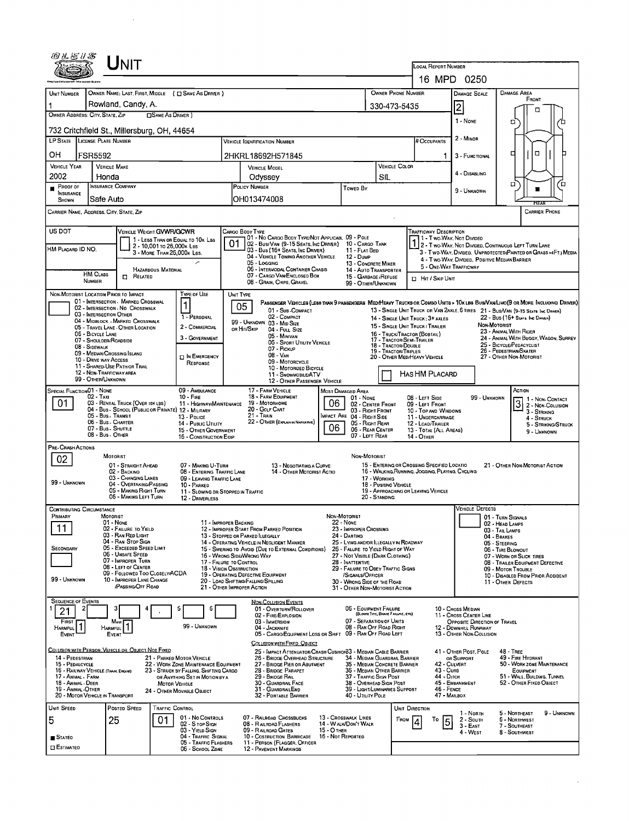|                                                                                                                                                                                                                                                                                                                                                                                                                      | UNIT                                                                                    |                                                                                |                                                                                  |                                                                                                                         |                                  |                                                                                                    |                                                                                                                                                          |                                                 |                                               |                                                                                          |                                |                                                        |                     |  |
|----------------------------------------------------------------------------------------------------------------------------------------------------------------------------------------------------------------------------------------------------------------------------------------------------------------------------------------------------------------------------------------------------------------------|-----------------------------------------------------------------------------------------|--------------------------------------------------------------------------------|----------------------------------------------------------------------------------|-------------------------------------------------------------------------------------------------------------------------|----------------------------------|----------------------------------------------------------------------------------------------------|----------------------------------------------------------------------------------------------------------------------------------------------------------|-------------------------------------------------|-----------------------------------------------|------------------------------------------------------------------------------------------|--------------------------------|--------------------------------------------------------|---------------------|--|
|                                                                                                                                                                                                                                                                                                                                                                                                                      |                                                                                         |                                                                                |                                                                                  | <b>LOCAL REPORT NUMBER</b><br>16 MPD 0250                                                                               |                                  |                                                                                                    |                                                                                                                                                          |                                                 |                                               |                                                                                          |                                |                                                        |                     |  |
| <b>UNIT NUMBER</b>                                                                                                                                                                                                                                                                                                                                                                                                   | OWNER NAME: LAST, FIRST, MIDDLE ( C SAME AS DRIVER )                                    |                                                                                |                                                                                  |                                                                                                                         |                                  |                                                                                                    |                                                                                                                                                          | OWNER PHONE NUMBER                              |                                               |                                                                                          |                                | <b>DAMAGE AREA</b>                                     |                     |  |
|                                                                                                                                                                                                                                                                                                                                                                                                                      | Rowland, Candy, A.                                                                      |                                                                                |                                                                                  |                                                                                                                         |                                  |                                                                                                    |                                                                                                                                                          |                                                 |                                               | <b>DAMAGE SCALE</b>                                                                      |                                | FRONT                                                  |                     |  |
| OWNER ADDRESS: CITY, STATE, ZIP                                                                                                                                                                                                                                                                                                                                                                                      |                                                                                         | <b>CISAME AS DRIVER</b> )                                                      |                                                                                  |                                                                                                                         |                                  |                                                                                                    |                                                                                                                                                          | 330-473-5435                                    |                                               | 2                                                                                        |                                | п                                                      |                     |  |
|                                                                                                                                                                                                                                                                                                                                                                                                                      | 732 Critchfield St., Millersburg, OH, 44654                                             |                                                                                |                                                                                  |                                                                                                                         |                                  |                                                                                                    |                                                                                                                                                          |                                                 |                                               | 1 - None                                                                                 |                                | □                                                      |                     |  |
| LP STATE LICENSE PLATE NUMBER                                                                                                                                                                                                                                                                                                                                                                                        |                                                                                         |                                                                                |                                                                                  | <b>VEHICLE IDENTIFICATION NUMBER</b>                                                                                    |                                  |                                                                                                    |                                                                                                                                                          |                                                 | # Occupants                                   | 2 - MINOR                                                                                |                                |                                                        |                     |  |
| OН<br><b>FSR5592</b>                                                                                                                                                                                                                                                                                                                                                                                                 |                                                                                         |                                                                                | 2HKRL18692H571845                                                                |                                                                                                                         |                                  |                                                                                                    |                                                                                                                                                          |                                                 | 1.                                            | 3 - FUNCTIONAL                                                                           |                                | о<br>д                                                 |                     |  |
| VEHICLE YEAR                                                                                                                                                                                                                                                                                                                                                                                                         | <b>VEHICLE MAKE</b>                                                                     |                                                                                |                                                                                  | VEHICLE MODEL                                                                                                           |                                  |                                                                                                    |                                                                                                                                                          | VEHICLE COLOR                                   |                                               | 4 - DISABLING                                                                            |                                |                                                        |                     |  |
| 2002<br>Proof of                                                                                                                                                                                                                                                                                                                                                                                                     | Honda<br><b>INSURANCE COMPANY</b>                                                       |                                                                                |                                                                                  | Odyssey<br>POLICY NUMBER                                                                                                |                                  | <b>Towed By</b>                                                                                    | SIL                                                                                                                                                      |                                                 |                                               |                                                                                          |                                | α                                                      | O                   |  |
| <b>INSURANCE</b><br>SHOWN                                                                                                                                                                                                                                                                                                                                                                                            | Safe Auto                                                                               |                                                                                |                                                                                  | OH013474008                                                                                                             |                                  |                                                                                                    |                                                                                                                                                          |                                                 |                                               | 9 - UNKNOWN                                                                              |                                |                                                        |                     |  |
| <b>CARRIER PHONE</b><br>CARRIER NAME, ADDRESS, CITY, STATE, ZIP                                                                                                                                                                                                                                                                                                                                                      |                                                                                         |                                                                                |                                                                                  |                                                                                                                         |                                  |                                                                                                    |                                                                                                                                                          |                                                 |                                               |                                                                                          |                                |                                                        |                     |  |
| US DOT                                                                                                                                                                                                                                                                                                                                                                                                               | VEHICLE WEIGHT GVWR/GCWR                                                                |                                                                                | Cargo Body Type                                                                  |                                                                                                                         |                                  |                                                                                                    |                                                                                                                                                          |                                                 | TRAFFICWAY DESCRIPTION                        |                                                                                          |                                |                                                        |                     |  |
| HM PLACARD ID NO.                                                                                                                                                                                                                                                                                                                                                                                                    |                                                                                         | 1 - LESS THAN OR EQUAL TO 10K LBS<br>2 - 10,001 To 26,000x Las                 | 01                                                                               | 01 - No CARGO BODY TYPE/NOT APPLICABL 09 - POLE<br>02 - Bus/Van (9-15 Seats, Inc Driver)                                |                                  | 10 - CARGO TANK                                                                                    |                                                                                                                                                          |                                                 | 1 - Two-Way, Not Divided                      |                                                                                          |                                | 2 - Two-Way, Not Divided, Continuous Left Turn Lane    |                     |  |
|                                                                                                                                                                                                                                                                                                                                                                                                                      |                                                                                         | 3 - MORE THAN 26,000K LBS.                                                     |                                                                                  | 03 - Bus (16+ SEATS, INC DRIVER)<br>04 - VEHICLE TOWING ANOTHER VEHICLE<br>05 - Logging                                 |                                  | 11 - FLAT BED<br>12 - Dune<br>13 - CONCRETE MIXER<br>14 - AUTO TRANSPORTER<br>15 - GARBAGE /REFUSE |                                                                                                                                                          |                                                 | 4 - Two-Way, DIVIDED, POSITIVE MEDIAN BARRIER | 3 - Two Way, Divided, Unprotected(Painted or Grass >4Ft.) Media                          |                                |                                                        |                     |  |
| HM CLASS                                                                                                                                                                                                                                                                                                                                                                                                             | HAZARDOUS MATERIAL<br>$\Box$ Related                                                    |                                                                                |                                                                                  | 06 - INTERMODAL CONTAINER CHASIS<br>07 - CARGO VAN/ENCLOSED BOX                                                         |                                  |                                                                                                    |                                                                                                                                                          |                                                 | 5 - ONE-WAY TRAFFICWAY                        |                                                                                          |                                |                                                        |                     |  |
| <b>NUMBER</b>                                                                                                                                                                                                                                                                                                                                                                                                        |                                                                                         |                                                                                |                                                                                  | 08 - GRAIN, CHIPS, GRAVEL                                                                                               |                                  | 99 - OTHER/UNKNOWN                                                                                 |                                                                                                                                                          |                                                 | <b>D</b> Hit / Skip UNIT                      |                                                                                          |                                |                                                        |                     |  |
| NON-MOTORIST LOCATION PRIOR TO IMPACT                                                                                                                                                                                                                                                                                                                                                                                | 01 - INTERSECTION - MARKED CROSSWAL                                                     | TYPE OF USE                                                                    | UNIT TYPE                                                                        |                                                                                                                         |                                  |                                                                                                    |                                                                                                                                                          |                                                 |                                               |                                                                                          |                                |                                                        |                     |  |
| PASSENGER VEHICLES (LESS THAN 9 PASSENGERS MEDIMEANY TRUCKS OR COMBO UNITS > 10K LBS BUSIVAN/LIMO(9 OR MORE INCLUDING DRIVER)<br>05<br>02 - INTERSECTION - NO CROSSWALK<br>01 - Sub - COMPACT<br>13 - SINGLE UNIT TRUCK OR VAN 2AXLE, 6 TIRES 21 - BUS/VAN (9-15 SEATS, INC DAMER)<br>03 - INTERSECTION OTHER<br>02 - COMPACT<br>1 - PERSONAL<br>22 - BUS (16+ SEATS, INC DEMER)<br>14 - SINGLE UNIT TRUCK: 3+ AXLES |                                                                                         |                                                                                |                                                                                  |                                                                                                                         |                                  |                                                                                                    |                                                                                                                                                          |                                                 |                                               |                                                                                          |                                |                                                        |                     |  |
|                                                                                                                                                                                                                                                                                                                                                                                                                      | 04 - MIDBLOCK - MARKED CROSSWALK<br>05 - TRAVEL LANE - OTHER LOCATION                   | 2 - COMMERCIAL                                                                 | OR HIT/SKIP                                                                      | 99 - UNKNOWN 03 - MID SIZE<br>04 - Full Size                                                                            |                                  |                                                                                                    |                                                                                                                                                          | 15 - SINGLE UNIT TRUCK / TRAILER                |                                               | NON-MOTORIST                                                                             |                                |                                                        |                     |  |
| 06 - BICYCLE LANE                                                                                                                                                                                                                                                                                                                                                                                                    | 07 - Shoulder/Roadside                                                                  | 3 - GOVERNMENT                                                                 |                                                                                  | 05 - MINIVAN<br>06 - Sport Utility Vehicle                                                                              |                                  |                                                                                                    | 23 - ANIMAL WITH RIDER<br>16 - TRUCK/TRACTOR (BOBTAIL)<br>24 - ANIMAL WITH BUGGY, WAGON, SURREY<br>17 - TRACTOR/SEMI-TRAILER<br>25 - BICYCLE/PEDACYCLIST |                                                 |                                               |                                                                                          |                                |                                                        |                     |  |
| 08 - SIDEWALK                                                                                                                                                                                                                                                                                                                                                                                                        | 09 - MEDIAN/CROSSING ISLAND                                                             | <b>IN EMERGENCY</b>                                                            | 18 - TRACTOR/DOUBLE<br>07 - PICKUP<br>19 - TRACTOR/TRIPLES<br>$08 - V_{AN}$      |                                                                                                                         |                                  |                                                                                                    |                                                                                                                                                          |                                                 | 20 - OTHER MED/HEAVY VEHICLE                  |                                                                                          |                                | 26 - PEDESTRIAN/SKATER<br>27 - OTHER NON-MOTORIST      |                     |  |
|                                                                                                                                                                                                                                                                                                                                                                                                                      | 10 - DRIVE WAY ACCESS<br>11 - SHARED-USE PATH OR TRAIL                                  | RESPONSE                                                                       | 09 - MOTORCYCLE<br>10 - MOTORIZED BICYCLE                                        |                                                                                                                         |                                  |                                                                                                    |                                                                                                                                                          |                                                 |                                               |                                                                                          |                                |                                                        |                     |  |
| 12 - NON-TRAFFICWAY AREA<br>HAS HM PLACARD<br>11 - Snowmobile/ATV<br>99 - OTHER/UNKNOWN<br>12 - OTHER PASSENGER VEHICLE                                                                                                                                                                                                                                                                                              |                                                                                         |                                                                                |                                                                                  |                                                                                                                         |                                  |                                                                                                    |                                                                                                                                                          |                                                 |                                               |                                                                                          |                                |                                                        |                     |  |
| SPECIAL FUNCTION01 - NONE<br>09 - AMBULANCE<br>02 - Taxi<br>$10 -$ FIRE                                                                                                                                                                                                                                                                                                                                              |                                                                                         |                                                                                |                                                                                  | 17 - FARM VEHICLE<br>MOST DAMAGED AREA<br>18 - FARM EQUIPMENT<br>01 - NONE                                              |                                  |                                                                                                    |                                                                                                                                                          |                                                 | 08 - LEFT SIDE                                |                                                                                          | 99 - UNKNOWN                   | ACTION                                                 | 1 - Non-Contact     |  |
| 01                                                                                                                                                                                                                                                                                                                                                                                                                   | 03 - RENTAL TRUCK (OVER 10K LBS)<br>04 - Bus - SCHOOL (PUBLIC OR PRIVATE) 12 - MILITARY | 11 - HIGHWAY/MAINTENANCE                                                       | 06<br>19 - Мотовноме<br>20 - GOLF CART                                           |                                                                                                                         |                                  |                                                                                                    | 02 - CENTER FRONT<br>09 - LEFT FRONT<br>03 - Right Front<br>10 - TOP AND WINDOWS                                                                         |                                                 |                                               |                                                                                          |                                | 3 2 - Non-Contact<br>2 - Non-Collision<br>3 - STRIKING |                     |  |
|                                                                                                                                                                                                                                                                                                                                                                                                                      | 05 - Bus - Transit<br>06 - Bus. CHARTER                                                 | 13 - Pouce<br>14 - Public Utility                                              | 21 - TRAIN<br>MPACT ARE 04 - RIGHT SIDE<br>22 - OTHER (EXPLANIN NARRATIVE)<br>06 |                                                                                                                         |                                  | 05 - RIGHT REAR                                                                                    |                                                                                                                                                          |                                                 | 11 - UNDERCARRIAGE<br>12 - LOAD/TRAILER       |                                                                                          |                                | 4 - STRUCK                                             | 5 - STRIKING/STRUCK |  |
|                                                                                                                                                                                                                                                                                                                                                                                                                      | 07 - Bus - SHUTTLE<br>08 - Bus - OTHER                                                  | 15 - OTHER GOVERNMENT<br>16 - CONSTRUCTION EQIP.                               | 06 - REAR CENTER<br>13 - TOTAL (ALL AREAS)<br>07 - LEFT REAR<br>14 - OTHER       |                                                                                                                         |                                  |                                                                                                    |                                                                                                                                                          |                                                 |                                               |                                                                                          | 9 - UNKNOWN                    |                                                        |                     |  |
| PRE- CRASH ACTIONS                                                                                                                                                                                                                                                                                                                                                                                                   | MOTORIST                                                                                |                                                                                |                                                                                  |                                                                                                                         |                                  |                                                                                                    |                                                                                                                                                          |                                                 |                                               |                                                                                          |                                |                                                        |                     |  |
| 02                                                                                                                                                                                                                                                                                                                                                                                                                   | 01 - STRAIGHT AHEAD                                                                     | 07 - MAKING U-TURN                                                             |                                                                                  | 13 - NEGOTIATING A CURVE                                                                                                |                                  | NON-MOTORIST                                                                                       |                                                                                                                                                          |                                                 | 15 - ENTERING OR CROSSING SPECIFIED LOCATIO   |                                                                                          |                                | 21 - OTHER NON-MOTORIST ACTION                         |                     |  |
| 99 - UNKNOWN                                                                                                                                                                                                                                                                                                                                                                                                         | 02 - BACKING<br>03 - CHANGING LANES                                                     | 08 - ENTERING TRAFFIC LANE<br>09 - LEAVING TRAFFIC LANE                        |                                                                                  | 14 - OTHER MOTORIST ACTIO                                                                                               |                                  | 17 - WORKING                                                                                       |                                                                                                                                                          | 16 - WALKING RUNNING, JOGGING, PLAYING, CYCLING |                                               |                                                                                          |                                |                                                        |                     |  |
|                                                                                                                                                                                                                                                                                                                                                                                                                      | 04 - OVERTAKING/PASSING<br>05 - MAKING RIGHT TURN<br>06 - MAKING LEFT TURN              | 10 - PARKED<br>11 - SLOWING OR STOPPED IN TRAFFIC                              |                                                                                  |                                                                                                                         |                                  |                                                                                                    | 18 - PUSHINO VEHICLE<br>20 - STANDING                                                                                                                    |                                                 | 19 - APPROACHING OR LEAVING VEHICLE           |                                                                                          |                                |                                                        |                     |  |
| <b>CONTRIBUTING CIRCUMSTANCE</b>                                                                                                                                                                                                                                                                                                                                                                                     |                                                                                         | 12 - DRIVERLESS                                                                |                                                                                  |                                                                                                                         |                                  |                                                                                                    |                                                                                                                                                          |                                                 |                                               | <b>VEHICLE DEFECTS</b>                                                                   |                                |                                                        |                     |  |
| PRIMARY                                                                                                                                                                                                                                                                                                                                                                                                              | MOTORIST<br>01 - None                                                                   |                                                                                | 11 - IMPROPER BACKING                                                            |                                                                                                                         | NON-MOTORIST                     | <b>22 - NONE</b>                                                                                   |                                                                                                                                                          |                                                 |                                               |                                                                                          |                                | 01 - TURN SIGNALS<br>02 - HEAD LAMPS                   |                     |  |
| 11                                                                                                                                                                                                                                                                                                                                                                                                                   | 02 - FAILURE TO YIELD<br>03 - RAN RED LIGHT                                             |                                                                                |                                                                                  | 12 - IMPROPER START FROM PARKED POSITION<br>13 - STOPPED OR PARKED ILLEGALLY                                            |                                  | 23 - IMPROPER CROSSING<br>24 - DARTING                                                             |                                                                                                                                                          |                                                 |                                               |                                                                                          | 03 - TAIL LAMPS<br>04 - BRAKES |                                                        |                     |  |
| SECONDARY                                                                                                                                                                                                                                                                                                                                                                                                            | 04 - RAN STOP SIGN<br>05 - Exceeded Speed LIMIT                                         |                                                                                |                                                                                  | 14 - OPERATING VEHICLE IN NEGLIGENT MANNER<br>15 - Swering to Avoid (Due to External Conditions)                        |                                  | 25 - LYING AND/OR ILLEGALLY IN ROADWAY<br>26 - FALURE TO YIELD RIGHT OF WAY                        |                                                                                                                                                          |                                                 |                                               |                                                                                          | 05 - STEERING                  | 06 - TIRE BLOWOUT                                      |                     |  |
|                                                                                                                                                                                                                                                                                                                                                                                                                      | <b>06 - UNSAFE SPEED</b><br>07 - IMPROPER TURN                                          |                                                                                |                                                                                  | 16 - Wrong Side/Wrong Way<br>27 - NOT VISIBLE (DARK CLOTHING)<br>17 - FALURE TO CONTROL<br>28 - INATTENTIVE             |                                  |                                                                                                    |                                                                                                                                                          |                                                 |                                               | 07 - WORN OR SLICK TIRES<br>08 - TRAILER EQUIPMENT DEFECTIVE                             |                                |                                                        |                     |  |
|                                                                                                                                                                                                                                                                                                                                                                                                                      | 08 - LEFT OF CENTER<br>09 - FOLLOWED TOO CLOSELY/ACDA                                   |                                                                                |                                                                                  | 18 - VISION OBSTRUCTION<br>29 - FAILURE TO OBEY TRAFFIC SIGNS<br>19 - OPERATING DEFECTIVE EQUIPMENT<br>/SIGNALS/OFFICER |                                  |                                                                                                    |                                                                                                                                                          |                                                 |                                               | 09 - MOTOR TROUBLE<br>10 - DISABLED FROM PRIOR ACCIDENT                                  |                                |                                                        |                     |  |
| 99 - UNKNOWN                                                                                                                                                                                                                                                                                                                                                                                                         | 10 - IMPROPER LANE CHANGE<br><b>PASSING/OFF ROAD</b>                                    |                                                                                | 21 - Отнея Імрворев Астюм                                                        | 20 - LOAD SHIFTING/FALLING/SPILLING                                                                                     |                                  | 30 - WRONG SIDE OF THE ROAD<br>31 - OTHER NON-MOTORIST ACTION                                      |                                                                                                                                                          |                                                 |                                               |                                                                                          |                                | 11 - OTHER DEFECTS                                     |                     |  |
| <b>SEQUENCE OF EVENTS</b>                                                                                                                                                                                                                                                                                                                                                                                            |                                                                                         |                                                                                |                                                                                  | <b>NON-COLLISION EVENTS</b>                                                                                             |                                  |                                                                                                    |                                                                                                                                                          |                                                 |                                               |                                                                                          |                                |                                                        |                     |  |
| 2<br>21                                                                                                                                                                                                                                                                                                                                                                                                              | з                                                                                       | Б                                                                              |                                                                                  | 01 - OVERTURN/ROLLOVER<br>02 - FIRE/EXPLOSION                                                                           |                                  | 06 - EQUIPMENT FAILURE                                                                             | (BLOWN TIRE, BRAKE FAILURE, ETC)                                                                                                                         |                                                 |                                               | 10 - Cross Median<br>11 - Cross CENTER LINE                                              |                                |                                                        |                     |  |
| FIRST<br><b>HARMFUL</b><br>EVENT                                                                                                                                                                                                                                                                                                                                                                                     | Most<br><b>HARMFUL</b><br>EVENT                                                         | 99 - Unknown                                                                   |                                                                                  | 03 - IMMERSION<br>04 - JACKKNIFE<br>05 - CARGO/EQUIPMENT LOSS OR SHIFT 09 - RAN OFF ROAD LEFT                           |                                  | 07 - SEPARATION OF UNITS<br>08 - RAN OFF ROAD RIGHT                                                |                                                                                                                                                          |                                                 |                                               | <b>OPPOSITE DIRECTION OF TRAVEL</b><br>12 - DOWNHILL RUNAWAY<br>13 - OTHER NON-COLLISION |                                |                                                        |                     |  |
|                                                                                                                                                                                                                                                                                                                                                                                                                      |                                                                                         |                                                                                |                                                                                  | COLLISION WITH FIXED, OBJECT                                                                                            |                                  |                                                                                                    |                                                                                                                                                          |                                                 |                                               |                                                                                          |                                |                                                        |                     |  |
| 14 - PEDESTRIAN                                                                                                                                                                                                                                                                                                                                                                                                      | COLLISION WITH PERSON, VEHICLE OR OBJECT NOT FIXED                                      | 21 - PARKED MOTOR VEHICLE                                                      |                                                                                  | 25 - IMPACT ATTENUATOR/CRASH CUSHION33 - MEDIAN CABLE BARRIER<br>26 - BRIDGE OVERHEAD STRUCTURE                         |                                  | 34 - MEDIAN GUARDRAIL BARRIER                                                                      |                                                                                                                                                          |                                                 |                                               | 41 - OTHER POST, POLE<br>OR SUPPORT                                                      |                                | <b>48 - TREE</b><br>49 - FIRE HYDRANT                  |                     |  |
| 15 - PEDALCYCLE<br>16 - RAILWAY VEHICLE (TRAIN, ENGINE)                                                                                                                                                                                                                                                                                                                                                              |                                                                                         | 22 - WORK ZONE MAINTENANCE EQUIPMENT<br>23 - STRUCK BY FALLING, SHIFTING CARGO |                                                                                  | 27 - BRIDGE PIER OR ABUTMENT<br>28 - BRIDGE PARAPET                                                                     |                                  | 35 - MEDIAN CONCRETE BARRIER<br>36 - MEDIAN OTHER BARRIER                                          |                                                                                                                                                          |                                                 | 42 - CULVERT<br>43 - Curs                     |                                                                                          |                                | 50 - WORK ZONE MAINTENANCE<br>EQUIPMENT                |                     |  |
| 17 - ANIMAL FARM<br>18 - Animal Deer                                                                                                                                                                                                                                                                                                                                                                                 |                                                                                         | OR ANYTHING SET IN MOTION BY A<br><b>MOTOR VEHICLE</b>                         |                                                                                  | 29 - BRIDGE RAIL<br>30 - GUARDRAIL FACE                                                                                 |                                  | 37 - TRAFFIC SIGN POST<br>38 - OVERHEAD SIGN POST                                                  |                                                                                                                                                          |                                                 | 44 - Олсн                                     | 45 - EMBANKMENT                                                                          |                                | 51 - WALL, BUILDING, TUNNEL<br>52 - OTHER FIXED OBJECT |                     |  |
| 19 - ANIMAL OTHER<br>20 - MOTOR VEHICLE IN TRANSPORT                                                                                                                                                                                                                                                                                                                                                                 |                                                                                         | 24 - OTHER MOVABLE OBJECT                                                      |                                                                                  | 31 - GUARDRAILEND<br>32 - PORTABLE BARRIER                                                                              |                                  | 39 - LIGHT/LUMINARIES SUPPORT<br>40 - UTILITY POLE                                                 |                                                                                                                                                          |                                                 | $46 -$ FENCE<br>47 - MAILBOX                  |                                                                                          |                                |                                                        |                     |  |
| Unit Speed                                                                                                                                                                                                                                                                                                                                                                                                           | POSTED SPEED                                                                            | Traffic Control                                                                |                                                                                  |                                                                                                                         |                                  |                                                                                                    |                                                                                                                                                          | UNIT DIRECTION                                  |                                               | 1 - North                                                                                |                                | 5 - NORTHEAST                                          | 9 - UNKNOWN         |  |
| 5                                                                                                                                                                                                                                                                                                                                                                                                                    | 25<br>01                                                                                | 01 - No CONTROLS<br>02 - S TOP SIGN                                            |                                                                                  | 07 - RAILROAD CROSSBUCKS<br>08 - RAILROAD FLASHERS                                                                      |                                  | 13 - CROSSWALK LINES<br>14 - WALK/DON'T WALK                                                       |                                                                                                                                                          | From                                            | То                                            | 2 - South<br>3 - East                                                                    |                                | <b>6 - NORTHWEST</b><br>7 - SOUTHEAST                  |                     |  |
| $\blacksquare$ Stated                                                                                                                                                                                                                                                                                                                                                                                                |                                                                                         | 03 - YIELD SIGN<br>04 - TRAFFIC SIGNAL<br>05 - TRAFFIC FLASHERS                |                                                                                  | 09 - RAILROAD CATES<br>10 - COSTRUCTION BARRICADE<br>11 - PERSON (FLAGGER, OFFICER                                      | 15 - О тнев<br>16 - Not Reported |                                                                                                    |                                                                                                                                                          |                                                 |                                               | 4 - West                                                                                 |                                | 8 - Southwest                                          |                     |  |
| <b>CI ESTIMATED</b>                                                                                                                                                                                                                                                                                                                                                                                                  |                                                                                         | 06 - SCHOOL ZONE                                                               |                                                                                  | 12 - PAVEMENT MARKINGS                                                                                                  |                                  |                                                                                                    |                                                                                                                                                          |                                                 |                                               |                                                                                          |                                |                                                        |                     |  |

 $\mathcal{A}^{\mathcal{A}}$ 

 $\sim 10^{-11}$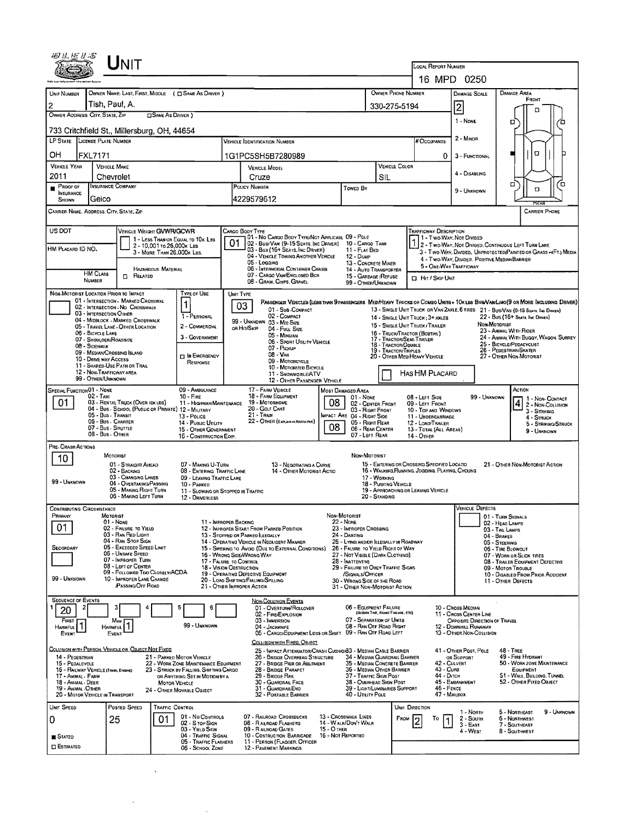| UNIT                                                                       |                                                                                |                                                                                                  |                                                                             |                                                              |                                                                                                   |                                                                                                                               |  |  |  |  |  |
|----------------------------------------------------------------------------|--------------------------------------------------------------------------------|--------------------------------------------------------------------------------------------------|-----------------------------------------------------------------------------|--------------------------------------------------------------|---------------------------------------------------------------------------------------------------|-------------------------------------------------------------------------------------------------------------------------------|--|--|--|--|--|
|                                                                            |                                                                                |                                                                                                  |                                                                             | LOCAL REPORT NUMBER<br>16 MPD                                | 0250                                                                                              |                                                                                                                               |  |  |  |  |  |
| UNIT NUMBER                                                                | OWNER NAME: LAST, FIRST, MIDDLE ( $\square$ SAME AS DRIVER )                   |                                                                                                  |                                                                             | OWNER PHONE NUMBER                                           | <b>DAMAGE SCALE</b>                                                                               | <b>DAMAGE AREA</b>                                                                                                            |  |  |  |  |  |
| Tish, Paul, A.<br>2                                                        |                                                                                |                                                                                                  |                                                                             | 330-275-5194                                                 |                                                                                                   | FRONT                                                                                                                         |  |  |  |  |  |
| OWNER ADDRESS: CITY, STATE, ZIP                                            | <b>SAME AS DRIVER</b> )                                                        |                                                                                                  |                                                                             |                                                              | 12<br>1 - NONE                                                                                    | ם                                                                                                                             |  |  |  |  |  |
| 733 Critchfield St., Millersburg, OH, 44654                                |                                                                                |                                                                                                  |                                                                             |                                                              |                                                                                                   | ο<br>Έ                                                                                                                        |  |  |  |  |  |
| LP STATE LICENSE PLATE NUMBER                                              |                                                                                | <b>VEHICLE IDENTIFICATION NUMBER</b>                                                             |                                                                             | # Occupants                                                  | 2 - Minor                                                                                         |                                                                                                                               |  |  |  |  |  |
| OН<br><b>FXL7171</b>                                                       |                                                                                | 1G1PC5SH5B7280989                                                                                |                                                                             | 0                                                            | 3 - FUNCTIONAL                                                                                    | ο                                                                                                                             |  |  |  |  |  |
| <b>VEHICLE YEAR</b><br><b>VEHICLE MAKE</b><br>2011<br>Chevrolet            |                                                                                | <b>VEHICLE MODEL</b><br>Cruze                                                                    | SIL                                                                         | VEHICLE COLOR                                                | 4 - DISABLING                                                                                     |                                                                                                                               |  |  |  |  |  |
| <b>INSURANCE COMPANY</b><br>Proof of                                       |                                                                                | POLICY NUMBER                                                                                    | <b>TOWED BY</b>                                                             |                                                              | 9 - UNKNOWN                                                                                       | α<br>ם<br>О                                                                                                                   |  |  |  |  |  |
| <b>INSURANCE</b><br>Geico<br>SHOWN                                         |                                                                                | 4229579612                                                                                       |                                                                             |                                                              |                                                                                                   |                                                                                                                               |  |  |  |  |  |
| CARRIER NAME, ADDRESS, CITY, STATE, ZIP                                    |                                                                                |                                                                                                  |                                                                             |                                                              |                                                                                                   | <b>CARRIER PHONE</b>                                                                                                          |  |  |  |  |  |
| US DOT                                                                     | <b>VEHICLE WEIGHT GVWFVGCWR</b>                                                | Cargo Body Type<br>01 - No CARGO BODY TYPE/NOT APPLICABL 09 - POLE                               |                                                                             | <b>TRAFFICWAY DESCRIPTION</b>                                | 1 - Two Way, Not Divided                                                                          |                                                                                                                               |  |  |  |  |  |
| HM PLACARD ID NO.                                                          | 1 - LESS THAN OR EQUAL TO 10K LBS<br>2 - 10,001 το 26,000 κ LBs                | 01<br>102 - Bus/VAN (9-15 SEATS, INC DRIVER)<br>03 - Bus (16+ SEATS, INC DRIVER)                 | 10 - CARGO TANK<br>11 - FLAT BED                                            |                                                              |                                                                                                   | 2 - Two-Way, Not Divided, Continuous Left Turn Lane<br>3 - Two-Way, Divided, Unprotected Painted or Grass > FT.) Media        |  |  |  |  |  |
|                                                                            | 3 - MORE THAN 26,000K LBS.                                                     | 04 - VEHICLE TOWING ANOTHER VEHICLE<br>05 - Logging                                              | 12 - Dump<br>13 - CONCRETE MIXER                                            |                                                              | 4 - Two-Way, Divided, Positive Median Barrier                                                     |                                                                                                                               |  |  |  |  |  |
| <b>HM CLASS</b><br>Π.                                                      | HAZARDOUS MATERIAL<br>RELATED                                                  | 06 - INTERMODAL CONTAINER CHASIS<br>07 - CARGO VAN/ENCLOSED BOX                                  | 14 - Auto Transporter<br>15 - GARBAGE / REFUSE                              | <b>CI HIT / SKIP UNIT</b>                                    | 5 - ONE-WAY TRAFFICWAY                                                                            |                                                                                                                               |  |  |  |  |  |
| <b>NUMBER</b><br>NON-MOTORIST LOCATION PRIOR TO IMPACT                     | <b>TYPE OF USE</b>                                                             | 08 - GRAIN, CHIPS, GRAVEL<br>UNIT TYPE                                                           | 99 - OTHER/UNKNOWN                                                          |                                                              |                                                                                                   |                                                                                                                               |  |  |  |  |  |
| 01 - INTERSECTION - MARKED CROSSWAL<br>02 - INTERSECTION - NO CROSSWALK    | 1                                                                              | 03                                                                                               |                                                                             |                                                              |                                                                                                   | PASSENGER VEHICLES (LESS THAN 9 PASSENGERS MEDIHEAVY TRUCKS OR COMBO UNITS » 10K LBS BUS/VAN/LIMO(9 OR MORE INCLUDING DRIVER) |  |  |  |  |  |
| 03 - INTERSECTION OTHER<br>04 - MIDBLOCK - MARKED CROSSWALK                | 1 - PERSONAL                                                                   | 01 - Sus-Compact<br>02 - COMPACT                                                                 |                                                                             | 14 - SINGLE UNIT TRUCK: 3+ AXLES                             |                                                                                                   | 13 - SINGLE UNIT TRUCK OR VAN 2AXLE, 6 TIRES 21 - BUS/VAN (9-15 SEATS, INC DRAYER)<br>22 - Bus (16+ Seats, Inc Driver)        |  |  |  |  |  |
| 05 - TRAVEL LANE - OTHER LOCATION<br>06 - BICYCLE LANE                     | 2 - COMMERCIAL                                                                 | 99 - UNKNOWN 03 - MID SIZE<br>OR HIT/SKIP<br>04 - Fuu, Size                                      |                                                                             | 15 - SINGLE UNIT TRUCK / TRAILER                             | NON-MOTORIST                                                                                      | 23 - ANIMAL WITH RIDER                                                                                                        |  |  |  |  |  |
| 07 - SHOULDER/ROADSIDE<br>08 - SIDEWALK                                    | 3 - GOVERNMENT                                                                 | 05 - Minevan<br>06 - Sport Utility Vehicle                                                       |                                                                             | 17 - TRACTOR/SEMI-TRAILER<br>18 - TRACTOR/DOUBLE             | 16 - TRUCK/TRACTOR (BOBTAIL)<br>24 - ANIMAL WITH BUGGY, WAGON, SURREY<br>25 - BICYCLE/PEDACYCLIST |                                                                                                                               |  |  |  |  |  |
| 09 - MEDIAN/CROSSING ISLAND<br>10 - DRIVE WAY ACCESS                       | <b>D</b> IN EMERGENCY                                                          | 07 - Prckup<br>08 - VAN                                                                          |                                                                             | 19 - TRACTOR/TRIPLES<br>20 - OTHER MED/HEAVY VEHICLE         |                                                                                                   | 26 - PEDESTRIAN/SKATER<br>27 - OTHER NON-MOTORIST                                                                             |  |  |  |  |  |
| 11 - Shared-Use Path or Trail<br>12 - NON-TRAFFICWAY AREA                  | RESPONSE                                                                       | 09 - MOTORCYCLE<br>10 - MOTORIZED BICYCLE                                                        |                                                                             |                                                              |                                                                                                   |                                                                                                                               |  |  |  |  |  |
| 99 - OTHER/UNKNOWN                                                         |                                                                                | 11 - SNOWMOBILE/ATV<br>12 - OTHER PASSENGER VEHICLE                                              |                                                                             | HAS HM PLACARD                                               |                                                                                                   |                                                                                                                               |  |  |  |  |  |
| SPECIAL FUNCTION 01 - NONE<br>02 - TAXI                                    | 09 - AMBULANCE<br>$10 -$ Fire                                                  | 17 - FARM VEHICLE<br>18 - FARM EQUIPMENT                                                         | Most Damaged Area<br>01 - None                                              | 08 - LEFT SIDE                                               | 99 - Unknown                                                                                      | ACTION<br>1 - Non Contact                                                                                                     |  |  |  |  |  |
| 01<br>03 - RENTAL TRUCK (OVER 10K LBS)                                     | 11 - HIGHWAY/MAINTENANCE<br>04 - Bus. SCHOOL (PUBLIC OR PRIVATE) 12 - MILITARY | 19 - Мотопноме<br>20 - GOLF CART                                                                 | 08<br>02 - CENTER FRONT<br>03 - RIGHT FRONT                                 | 09 - LEFT FRONT<br>10 - TOP AND WINDOWS                      |                                                                                                   | 2 - NON-COLLISION<br>3 - STRIKING                                                                                             |  |  |  |  |  |
| 05 - Bus - TRANSIT<br>06 - Bus. Charter                                    | 13 - Pouce<br>14 - Pueuc Unury                                                 | 21 - Train<br>22 - OTHER (EXPLAN IN NARRATIVE)                                                   | IMPACT ARE 04 - RIGHT SIDE<br>05 - Right Rear<br>08<br>06 - Rear CENTER     | 11 - UNDERCARRIAGE                                           | 4 - Struck<br>12 - LOAD/TRAILER<br>5 - STRIKING/STRUCK<br>13 - TOTAL (ALL AREAS)                  |                                                                                                                               |  |  |  |  |  |
| 07 - Bus - SHUTTLE<br>08 - Bus - OTHER                                     | 15 - OTHER GOVERNMENT<br>16 - CONSTRUCTION EOIP.                               |                                                                                                  | 9 - Unknown                                                                 |                                                              |                                                                                                   |                                                                                                                               |  |  |  |  |  |
| PRE- CRASH ACTIONS                                                         |                                                                                |                                                                                                  |                                                                             |                                                              |                                                                                                   |                                                                                                                               |  |  |  |  |  |
| MOTORIST<br>10<br>01 - STRAIGHT AHEAD                                      | 07 - MAKING U-TURN                                                             | 13 - Negotiating a Curve                                                                         | NON-MOTORIST                                                                | 15 - ENTERING OR CROSSING SPECIFIED LOCATIO                  |                                                                                                   | 21 - OTHER NON-MOTORIST ACTION                                                                                                |  |  |  |  |  |
| 02 - Васкина<br>03 - CHANGING LANES<br>99 - UNKNOWN                        | 08 - ENTERING TRAFFIC LANE<br>09 - LEAVING TRAFFIC LANE                        | 14 - OTHER MOTORIST ACTIO                                                                        | 17 - WORKING                                                                | 16 - WALKING, RUNNING, JOGGING, PLAYING, CYCUNG              |                                                                                                   |                                                                                                                               |  |  |  |  |  |
| 04 - OVERTAKING/PASSING<br>05 - MAKING RIGHT TURN<br>06 - MAKING LEFT TURN | 10 - PARKED<br>11 - SLOWING OR STOPPED IN TRAFFIC                              |                                                                                                  | 18 - Pushing Vehicle                                                        | 19 - APPROACHING OR LEAVING VEHICLE                          |                                                                                                   |                                                                                                                               |  |  |  |  |  |
| <b>CONTRIBUTING CIRCUMSTANCE</b>                                           | 12 - DRIVERLESS                                                                |                                                                                                  | 20 - Standing                                                               |                                                              | VEHICLE DEFECTS                                                                                   |                                                                                                                               |  |  |  |  |  |
| MOTORIST<br>PRIMARY<br>$01 - None$                                         | 11 - IMPROPER BACKING                                                          |                                                                                                  | Non-Motorist<br><b>22 - NONE</b>                                            |                                                              |                                                                                                   | 01 - TURN SIGNALS<br>02 - HEAD LAMPS                                                                                          |  |  |  |  |  |
| 01<br>02 - FAILURE TO YIELD<br>03 - RAN RED LIGHT                          |                                                                                | 12 - IMPROPER START FROM PARKED POSITION<br>13 - STOPPED OR PARKED ILLEGALLY                     | 23 - IMPROPER CROSSING<br>24 - DARTING                                      |                                                              | 04 - BRAKES                                                                                       | 03 - TAIL LAMPS                                                                                                               |  |  |  |  |  |
| 04 - RAN STOP SIGN<br>05 - Exceeded Speed Limit<br>SECONDARY               |                                                                                | 14 - Operating Vehicle in Negligent Manner<br>15 - Swering to Avoid (Due to External Conditions) | 25 - LYING AND/OR ILLEGALLY IN ROADWAY<br>26 - FALURE TO YIELD RIGHT OF WAY |                                                              |                                                                                                   | 05 - STEERING<br>06 - TIRE BLOWOUT                                                                                            |  |  |  |  |  |
| 06 - Unsafe Speed<br>07 - IMPROPER TURN                                    |                                                                                | 16 - Wrong Side/Wrong Way<br>17 - FALURE TO CONTROL                                              | 27 - NOT VISIBLE (DARK CLOTHING)<br>28 - INATTENTIVE                        | 07 - WORN OR SLICK TIRES<br>08 - TRAILER EQUIPMENT DEFECTIVE |                                                                                                   |                                                                                                                               |  |  |  |  |  |
| 08 - LEFT OF CENTER                                                        | 09 - FOLLOWED TOO CLOSELV/ACDA                                                 | 18 - VISION OBSTRUCTION<br>19 - OPERATING DEFECTIVE EQUIPMENT                                    | 29 - FAILURE TO OBEY TRAFFIC SIGNS<br>/SIGNALS/OFFICER                      | 09 - Motor TrousLe<br>10 - DISABLED FROM PRIOR ACCIDENT      |                                                                                                   |                                                                                                                               |  |  |  |  |  |
| 99 - Unknown<br>10 - IMPROPER LANE CHANGE<br><b>PASSING/OFF ROAD</b>       |                                                                                | 20 - LOAD SHIFTING/FALLING/SPILLING<br>21 - OTHER IMPROPER ACTION                                | 30 - WRONG SIDE OF THE ROAD<br>31 - OTHER NON-MOTORIST ACTION               |                                                              |                                                                                                   | 11 - OTHER DEFECTS                                                                                                            |  |  |  |  |  |
| <b>SEQUENCE OF EVENTS</b>                                                  |                                                                                | NON-COLLISION EVENTS                                                                             |                                                                             |                                                              |                                                                                                   |                                                                                                                               |  |  |  |  |  |
| 20                                                                         | 6                                                                              | 01 - Overturn/Rollover<br>02 - FIRE/EXPLOSION                                                    | 06 - EQUIPMENT FAILURE<br>(BLOWN TIRE, BRAKE FAILURE, ETC)                  |                                                              | 10 - Cross Median<br>11 - Cross CENTER LINE                                                       |                                                                                                                               |  |  |  |  |  |
| FIRST<br>Most<br>HARMFUL <sup>1</sup><br>HARMFUL <sup>1</sup>              | 99 - Unknown                                                                   | 03 - IMMERSION<br>04 - JACKKNIFE                                                                 | 07 - SEPARATION OF UNITS<br>08 - RAN OFF ROAD RIGHT                         |                                                              | OPPOSITE DIRECTION OF TRAVEL<br>12 - DGWNHILL RUNAWAY                                             |                                                                                                                               |  |  |  |  |  |
| EVENT<br>EVENT                                                             |                                                                                | 05 - CARGO/EQUIPMENT LOSS OR SHIFT 09 - RAN OFF ROAD LEFT<br>COLLISION WITH FIXED, OBJECT        |                                                                             |                                                              | 13 - OTHER NON-COLLISION                                                                          |                                                                                                                               |  |  |  |  |  |
| COLUSION WITH PERSON, VEHICLE OR OBJECT NOT FIXED<br>14 - PEDESTRIAN       | 21 - PARKED MOTOR VEHICLE                                                      | 25 - IMPACT ATTENUATOR/CRASH CUSHION33 - MEDIAN CABLE BARRIER<br>26 - BRIDGE OVERHEAD STRUCTURE  | 34 - Median Guardrail Barrier                                               |                                                              | 41 - OTHER POST, POLE<br>OR SUPPORT                                                               | 48 - TREE<br>49 - FIRE HYDRANT                                                                                                |  |  |  |  |  |
| 15 - PEDALCYCLE<br>16 - RAILWAY VEHICLE (TRAIN, ENGINE)                    | 22 - WORK ZONE MAINTENANCE EQUIPMENT<br>23 - STRUCK BY FALLING, SHIFTING CARGO | 27 - BRIDGE PIER OR ABUTMENT<br>28 - BRIDGE PARAPET                                              | 35 - MEDIAN CONCRETE BARRIER<br>36 - MEDIAN OTHER BARRIER                   | 43 - Curs                                                    | 42 - CULVERT                                                                                      | 50 - WORK ZONE MAINTENANCE<br>EQUIPMENT                                                                                       |  |  |  |  |  |
| 17 - ANIMAL - FARM<br>18 - Animal - Deer                                   | OR ANYTHING SET IN MOTION BY A<br>MOTOR VEHICLE                                | 29 - BRIDGE RAIL<br>30 - GUARDRAIL FACE                                                          | 37 - TRAFFIC SIGN POST<br>38 OVERHEAD SIGN POST                             | 44 - Октон                                                   | 45 - Емванкмент                                                                                   | 51 - WALL, BUILDING, TUNNEL<br>52 - OTHER FIXED OBJECT                                                                        |  |  |  |  |  |
| 19 - ANIMAL OTHER<br>20 - MOTOR VEHICLE IN TRANSPORT                       | 24 - OTHER MOVABLE OBJECT                                                      | 31 - GUARDRAILEND<br>32 - PORTABLE BARRIER                                                       | 39 - Light/Luminaries Support<br>40 - Utairy Pole                           | 46 - FENCE                                                   | 47 - MAILBOX                                                                                      |                                                                                                                               |  |  |  |  |  |
| UNIT SPEED<br>POSTED SPEED                                                 | TRAFFIC CONTROL                                                                |                                                                                                  |                                                                             | UNIT DIRECTION                                               | 1 - North                                                                                         | 5 - Northeast<br>9 - UNKNOWN                                                                                                  |  |  |  |  |  |
| 25<br>0                                                                    | 01 - No CONTROLS<br>01<br>02 - S TOP SIGN                                      | 07 - RAILROAD CROSSBUCKS<br>08 - RAILROAD FLASHERS                                               | 13 - Crosswalk Lines<br>14 - WALK/DON'T WALK                                | FROM<br>Τо                                                   | 2 - South<br>$3 - E$ AST                                                                          | 6 - Northwest<br>7 - SOUTHEAST                                                                                                |  |  |  |  |  |
| <b>STATED</b>                                                              | 03 - YIELD SIGN<br>04 - TRAFFIC SIGNAL                                         | 09 - RAILROAD GATES<br>10 - Costruction Barricade                                                | 15 - O THER<br>16 - Not Reported                                            |                                                              | 4 - West                                                                                          | 8 - SOUTHWEST                                                                                                                 |  |  |  |  |  |
| <b>CI ESTIMATEO</b>                                                        | 05 - TRAFFIC FLASHERS<br>06 - SCHOOL ZONE                                      | 11 - PERSON (FLAGGER, OFFICER<br>12 - PAVEMENT MARKINGS                                          |                                                                             |                                                              |                                                                                                   |                                                                                                                               |  |  |  |  |  |